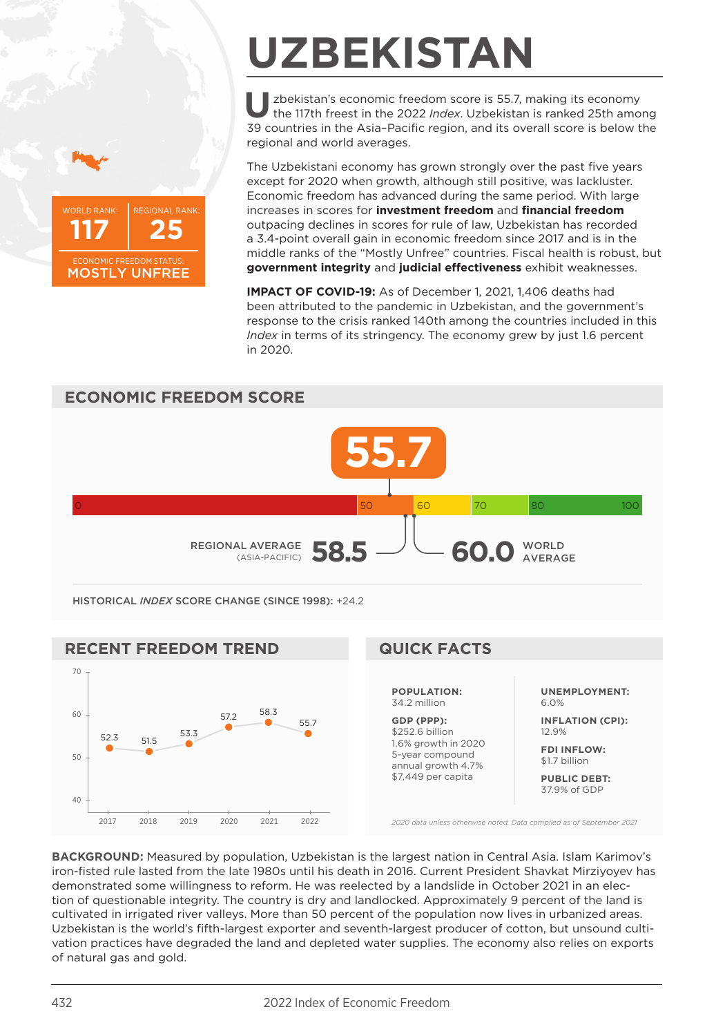



## **UZBEKISTAN**

**U**zbekistan's economic freedom score is 55.7, making its economy the 117th freest in the 2022 *Index*. Uzbekistan is ranked 25th among 39 countries in the Asia–Pacific region, and its overall score is below the regional and world averages.

The Uzbekistani economy has grown strongly over the past five years except for 2020 when growth, although still positive, was lackluster. Economic freedom has advanced during the same period. With large increases in scores for **investment freedom** and **financial freedom** outpacing declines in scores for rule of law, Uzbekistan has recorded a 3.4-point overall gain in economic freedom since 2017 and is in the middle ranks of the "Mostly Unfree" countries. Fiscal health is robust, but **government integrity** and **judicial effectiveness** exhibit weaknesses.

**IMPACT OF COVID-19:** As of December 1, 2021, 1,406 deaths had been attributed to the pandemic in Uzbekistan, and the government's response to the crisis ranked 140th among the countries included in this *Index* in terms of its stringency. The economy grew by just 1.6 percent in 2020.



HISTORICAL *INDEX* SCORE CHANGE (SINCE 1998): +24.2



**BACKGROUND:** Measured by population, Uzbekistan is the largest nation in Central Asia. Islam Karimov's iron-fisted rule lasted from the late 1980s until his death in 2016. Current President Shavkat Mirziyoyev has demonstrated some willingness to reform. He was reelected by a landslide in October 2021 in an election of questionable integrity. The country is dry and landlocked. Approximately 9 percent of the land is cultivated in irrigated river valleys. More than 50 percent of the population now lives in urbanized areas. Uzbekistan is the world's fifth-largest exporter and seventh-largest producer of cotton, but unsound cultivation practices have degraded the land and depleted water supplies. The economy also relies on exports of natural gas and gold.